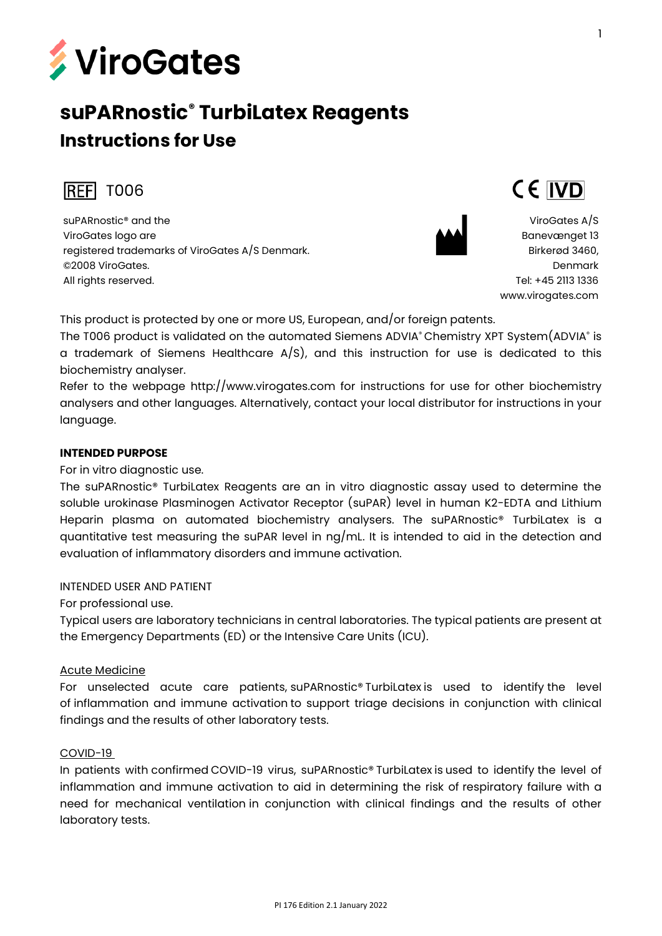

# **suPARnostic® TurbiLatex Reagents Instructions for Use**



suPARnostic® and the ViroGates logo are registered trademarks of ViroGates A/S Denmark. ©2008 ViroGates. All rights reserved.



ViroGates A/S Banevænget 13 Birkerød 3460, Denmark Tel: +45 2113 1336 [www.virogates.com](http://www.virogates.com/)

CE IVD

This product is protected by one or more US, European, and/or foreign patents.

The T006 product is validated on the automated Siemens ADVIA® Chemistry XPT System(ADVIA® is  $\,$ a trademark of Siemens Healthcare  $A/S$ ), and this instruction for use is dedicated to this biochemistry analyser.

Refer to the webpage http://www.virogates.com for instructions for use for other biochemistry analysers and other languages. Alternatively, contact your local distributor for instructions in your language.

#### **INTENDED PURPOSE**

For in vitro diagnostic use.

The suPARnostic® TurbiLatex Reagents are an in vitro diagnostic assay used to determine the soluble urokinase Plasminogen Activator Receptor (suPAR) level in human K2-EDTA and Lithium Heparin plasma on automated biochemistry analysers. The suPARnostic® TurbiLatex is a quantitative test measuring the suPAR level in ng/mL. It is intended to aid in the detection and evaluation of inflammatory disorders and immune activation.

#### INTENDED USER AND PATIENT

For professional use.

Typical users are laboratory technicians in central laboratories. The typical patients are present at the Emergency Departments (ED) or the Intensive Care Units (ICU).

#### Acute Medicine

For unselected acute care patients, suPARnostic® TurbiLatex is used to identify the level of inflammation and immune activation to support triage decisions in conjunction with clinical findings and the results of other laboratory tests.

#### COVID-19

In patients with confirmed COVID-19 virus, suPARnostic® TurbiLatex is used to identify the level of inflammation and immune activation to aid in determining the risk of respiratory failure with a need for mechanical ventilation in conjunction with clinical findings and the results of other laboratory tests.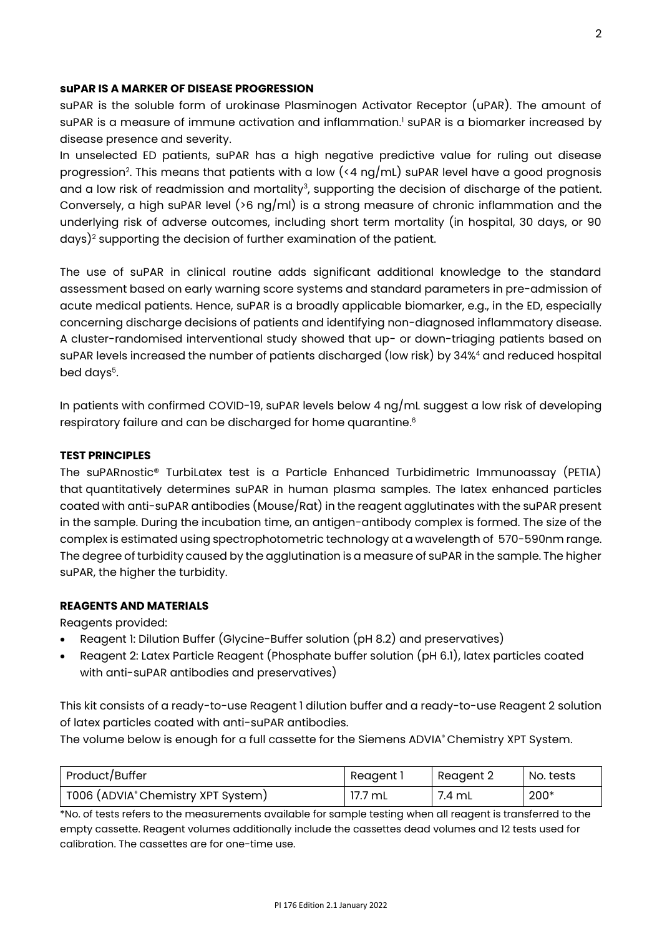#### **suPAR IS A MARKER OF DISEASE PROGRESSION**

suPAR is the soluble form of urokinase Plasminogen Activator Receptor (uPAR). The amount of suPAR is a measure of immune activation and inflammation.<sup>1</sup> suPAR is a biomarker increased by disease presence and severity.

In unselected ED patients, suPAR has a high negative predictive value for ruling out disease progression<sup>2</sup>. This means that patients with a low (<4  $\log/\text{mL}$ ) suPAR level have a good prognosis and a low risk of readmission and mortality<sup>3</sup>, supporting the decision of discharge of the patient. Conversely, a high suPAR level ( $>6$  ng/ml) is a strong measure of chronic inflammation and the underlying risk of adverse outcomes, including short term mortality (in hospital, 30 days, or 90 days)<sup>2</sup> supporting the decision of further examination of the patient.

The use of suPAR in clinical routine adds significant additional knowledge to the standard assessment based on early warning score systems and standard parameters in pre-admission of acute medical patients. Hence, suPAR is a broadly applicable biomarker, e.g., in the ED, especially concerning discharge decisions of patients and identifying non-diagnosed inflammatory disease. A cluster-randomised interventional study showed that up- or down-triaging patients based on suPAR levels increased the number of patients discharged (low risk) by 34%<sup>4</sup> and reduced hospital bed days<sup>5</sup>.

In patients with confirmed COVID-19, suPAR levels below 4 ng/mL suggest a low risk of developing respiratory failure and can be discharged for home quarantine. 6

#### **TEST PRINCIPLES**

The suPARnostic® TurbiLatex test is a Particle Enhanced Turbidimetric Immunoassay (PETIA) that quantitatively determines suPAR in human plasma samples. The latex enhanced particles coated with anti-suPAR antibodies (Mouse/Rat) in the reagent agglutinates with the suPAR present in the sample. During the incubation time, an antigen-antibody complex is formed. The size of the complex is estimated using spectrophotometric technology at a wavelength of 570-590nm range. The degree of turbidity caused by the agglutination is a measure of suPAR in the sample. The higher suPAR, the higher the turbidity.

#### **REAGENTS AND MATERIALS**

Reagents provided:

- Reagent 1: Dilution Buffer (Glycine-Buffer solution (pH 8.2) and preservatives)
- Reagent 2: Latex Particle Reagent (Phosphate buffer solution (pH 6.1), latex particles coated with anti-suPAR antibodies and preservatives)

This kit consists of a ready-to-use Reagent 1 dilution buffer and a ready-to-use Reagent 2 solution of latex particles coated with anti-suPAR antibodies.

The volume below is enough for a full cassette for the Siemens ADVIA® Chemistry XPT System.

| Product/Buffer                     | Reagent i | Reagent 2 | No. tests |
|------------------------------------|-----------|-----------|-----------|
| T006 (ADVIA® Chemistry XPT System) | 17.7 mL   | 7.4 mL    | $200*$    |

\*No. of tests refers to the measurements available for sample testing when all reagent is transferred to the empty cassette. Reagent volumes additionally include the cassettes dead volumes and 12 tests used for calibration. The cassettes are for one-time use.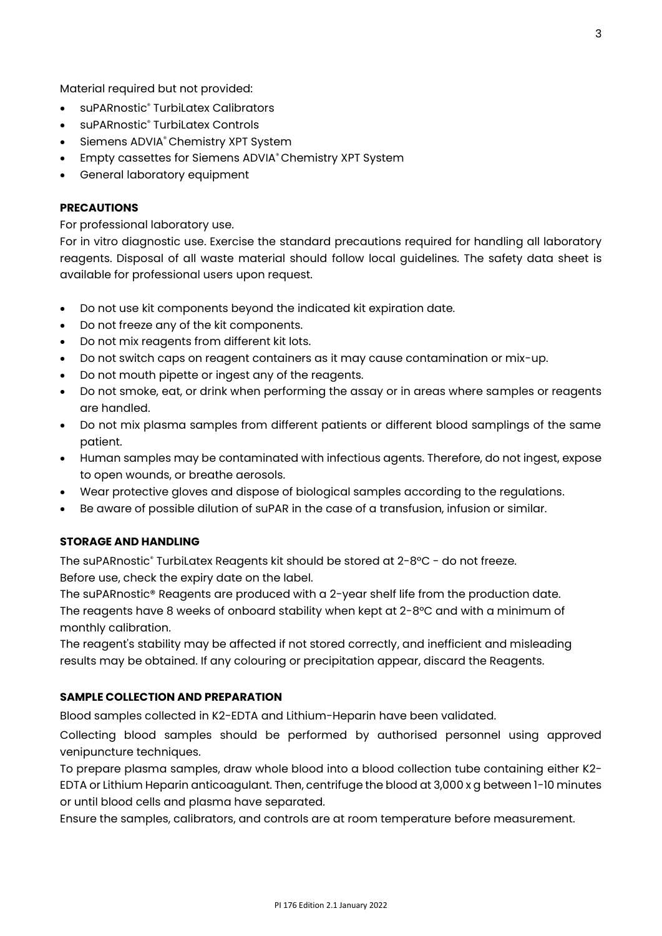Material required but not provided:

- suPARnostic<sup>®</sup> TurbiLatex Calibrators
- suPARnostic® TurbiLatex Controls
- Siemens ADVIA® Chemistry XPT System
- Empty cassettes for Siemens ADVIA® Chemistry XPT System
- General laboratory equipment

#### **PRECAUTIONS**

For professional laboratory use.

For in vitro diagnostic use. Exercise the standard precautions required for handling all laboratory reagents. Disposal of all waste material should follow local guidelines. The safety data sheet is available for professional users upon request.

- Do not use kit components beyond the indicated kit expiration date.
- Do not freeze any of the kit components.
- Do not mix reagents from different kit lots.
- Do not switch caps on reagent containers as it may cause contamination or mix-up.
- Do not mouth pipette or ingest any of the reagents.
- Do not smoke, eat, or drink when performing the assay or in areas where samples or reagents are handled.
- Do not mix plasma samples from different patients or different blood samplings of the same patient.
- Human samples may be contaminated with infectious agents. Therefore, do not ingest, expose to open wounds, or breathe aerosols.
- Wear protective gloves and dispose of biological samples according to the regulations.
- Be aware of possible dilution of suPAR in the case of a transfusion, infusion or similar.

#### **STORAGE AND HANDLING**

The suPARnostic® TurbiLatex Reagents kit should be stored at 2-8°C - do not freeze. Before use, check the expiry date on the label.

The suPARnostic® Reagents are produced with a 2-year shelf life from the production date. The reagents have 8 weeks of onboard stability when kept at  $2$ -8°C and with a minimum of monthly calibration.

The reagent's stability may be affected if not stored correctly, and inefficient and misleading results may be obtained. If any colouring or precipitation appear, discard the Reagents.

#### **SAMPLE COLLECTION AND PREPARATION**

Blood samples collected in K2-EDTA and Lithium-Heparin have been validated.

Collecting blood samples should be performed by authorised personnel using approved venipuncture techniques.

To prepare plasma samples, draw whole blood into a blood collection tube containing either K2- EDTA or Lithium Heparin anticoagulant. Then, centrifuge the blood at 3,000 x g between 1-10 minutes or until blood cells and plasma have separated.

Ensure the samples, calibrators, and controls are at room temperature before measurement.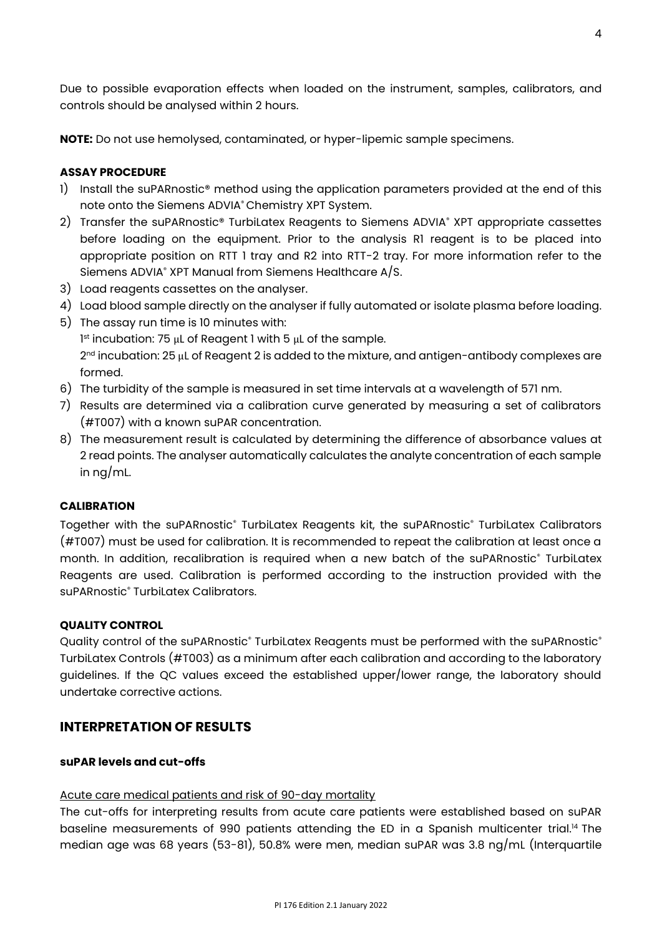Due to possible evaporation effects when loaded on the instrument, samples, calibrators, and controls should be analysed within 2 hours.

**NOTE:** Do not use hemolysed, contaminated, or hyper-lipemic sample specimens.

#### **ASSAY PROCEDURE**

- 1) Install the suPARnostic<sup>®</sup> method using the application parameters provided at the end of this note onto the Siemens ADVIA® Chemistry XPT System.
- 2) Transfer the suPARnostic® TurbiLatex Reagents to Siemens ADVIA® XPT appropriate cassettes before loading on the equipment. Prior to the analysis R1 reagent is to be placed into appropriate position on RTT 1 tray and R2 into RTT-2 tray. For more information refer to the Siemens ADVIA® XPT Manual from Siemens Healthcare A/S.
- 3) Load reagents cassettes on the analyser.
- 4) Load blood sample directly on the analyser if fully automated or isolate plasma before loading.
- 5) The assay run time is 10 minutes with:

1 st incubation: 75 μL of Reagent 1 with 5 μL of the sample. 2<sup>nd</sup> incubation: 25  $\mu$ L of Reagent 2 is added to the mixture, and antigen-antibody complexes are formed.

- 6) The turbidity of the sample is measured in set time intervals at a wavelength of 571 nm.
- 7) Results are determined via a calibration curve generated by measuring a set of calibrators (#T007) with a known suPAR concentration.
- 8) The measurement result is calculated by determining the difference of absorbance values at 2 read points. The analyser automatically calculates the analyte concentration of each sample in ng/mL.

#### **CALIBRATION**

Together with the suPARnostic® TurbiLatex Reagents kit, the suPARnostic® TurbiLatex Calibrators (#T007) must be used for calibration. It is recommended to repeat the calibration at least once a month. In addition, recalibration is required when a new batch of the suPARnostic® TurbiLatex Reagents are used. Calibration is performed according to the instruction provided with the suPARnostic<sup>®</sup> TurbiLatex Calibrators.

#### **QUALITY CONTROL**

Quality control of the suPARnostic® TurbiLatex Reagents must be performed with the suPARnostic® TurbiLatex Controls (#T003) as a minimum after each calibration and according to the laboratory guidelines. If the QC values exceed the established upper/lower range, the laboratory should undertake corrective actions.

#### **INTERPRETATION OF RESULTS**

#### **suPAR levels and cut-offs**

#### Acute care medical patients and risk of 90-day mortality

The cut-offs for interpreting results from acute care patients were established based on suPAR baseline measurements of 990 patients attending the ED in a Spanish multicenter trial.<sup>14</sup> The median age was 68 years (53-81), 50.8% were men, median suPAR was 3.8 ng/mL (Interquartile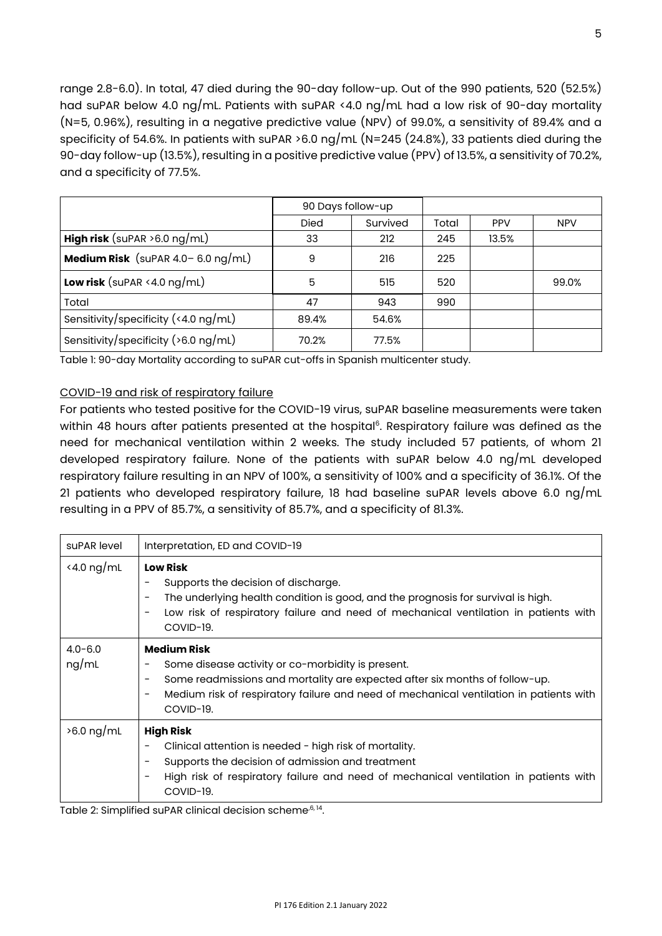range 2.8-6.0). In total, 47 died during the 90-day follow-up. Out of the 990 patients, 520 (52.5%) had suPAR below 4.0 ng/mL. Patients with suPAR <4.0 ng/mL had a low risk of 90-day mortality (N=5, 0.96%), resulting in a negative predictive value (NPV) of 99.0%, a sensitivity of 89.4% and a specificity of 54.6%. In patients with suPAR >6.0 ng/mL (N=245 (24.8%), 33 patients died during the 90-day follow-up (13.5%), resulting in a positive predictive value (PPV) of 13.5%, a sensitivity of 70.2%, and a specificity of 77.5%.

|                                              | 90 Days follow-up |          |       |            |            |
|----------------------------------------------|-------------------|----------|-------|------------|------------|
|                                              | <b>Died</b>       | Survived | Total | <b>PPV</b> | <b>NPV</b> |
| <b>High risk</b> (suPAR $>6.0$ ng/mL)        | 33                | 212      | 245   | 13.5%      |            |
| <b>Medium Risk</b> (suPAR $4.0 - 6.0$ ng/mL) | 9                 | 216      | 225   |            |            |
| Low risk (suPAR $\le$ 4.0 ng/mL)             | 5                 | 515      | 520   |            | 99.0%      |
| Total                                        | 47                | 943      | 990   |            |            |
| Sensitivity/specificity $($ < 4.0 ng/mL)     | 89.4%             | 54.6%    |       |            |            |
| Sensitivity/specificity ( $>6.0$ ng/mL)      | 70.2%             | 77.5%    |       |            |            |

Table 1: 90-day Mortality according to suPAR cut-offs in Spanish multicenter study.

#### COVID-19 and risk of respiratory failure

For patients who tested positive for the COVID-19 virus, suPAR baseline measurements were taken within 48 hours after patients presented at the hospital<sup>6</sup>. Respiratory failure was defined as the need for mechanical ventilation within 2 weeks. The study included 57 patients, of whom 21 developed respiratory failure. None of the patients with suPAR below 4.0 ng/mL developed respiratory failure resulting in an NPV of 100%, a sensitivity of 100% and a specificity of 36.1%. Of the 21 patients who developed respiratory failure, 18 had baseline suPAR levels above 6.0 ng/mL resulting in a PPV of 85.7%, a sensitivity of 85.7%, and a specificity of 81.3%.

| suPAR level                 | Interpretation, ED and COVID-19                                                                                                                                                                                                                                                                              |
|-----------------------------|--------------------------------------------------------------------------------------------------------------------------------------------------------------------------------------------------------------------------------------------------------------------------------------------------------------|
| $\langle 4.0 \text{ ng/mL}$ | <b>Low Risk</b><br>Supports the decision of discharge.<br>The underlying health condition is good, and the prognosis for survival is high.<br>$\qquad \qquad$<br>Low risk of respiratory failure and need of mechanical ventilation in patients with<br>$\overline{\phantom{a}}$<br>COVID-19.                |
| $4.0 - 6.0$<br>ng/mL        | <b>Medium Risk</b><br>Some disease activity or co-morbidity is present.<br>Some readmissions and mortality are expected after six months of follow-up.<br>$\qquad \qquad$<br>Medium risk of respiratory failure and need of mechanical ventilation in patients with<br>$\overline{\phantom{a}}$<br>COVID-19. |
| $>6.0$ ng/mL                | <b>High Risk</b><br>Clinical attention is needed - high risk of mortality.<br>Supports the decision of admission and treatment<br>High risk of respiratory failure and need of mechanical ventilation in patients with<br>COVID-19.                                                                          |

Table 2: Simplified suPAR clinical decision scheme<sup>,6, 14</sup>.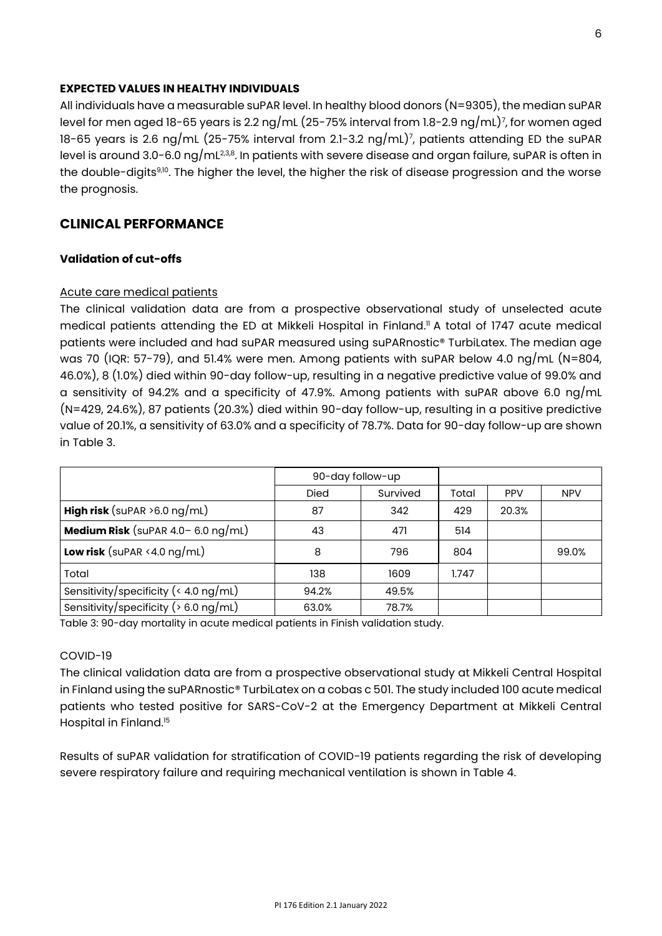#### **EXPECTED VALUES IN HEALTHY INDIVIDUALS**

All individuals have a measurable suPAR level. In healthy blood donors (N=9305), the median suPAR level for men aged 18-65 years is 2.2 ng/mL (25-75% interval from 1.8-2.9 ng/mL)<sup>7</sup> , for women aged 18-65 years is 2.6 ng/mL (25-75% interval from 2.1-3.2 ng/mL)<sup>7</sup> , patients attending ED the suPAR level is around 3.0-6.0 ng/mL $^{2,3,8}$ . In patients with severe disease and organ failure, suPAR is often in the double-digits<sup>9,10</sup>. The higher the level, the higher the risk of disease progression and the worse the prognosis.

### **CLINICAL PERFORMANCE**

#### **Validation of cut-offs**

#### Acute care medical patients

The clinical validation data are from a prospective observational study of unselected acute medical patients attending the ED at Mikkeli Hospital in Finland. <sup>11</sup> A total of 1747 acute medical patients were included and had suPAR measured using suPARnostic® TurbiLatex. The median age was 70 (IQR: 57-79), and 51.4% were men. Among patients with suPAR below 4.0 ng/mL (N=804, 46.0%), 8 (1.0%) died within 90-day follow-up, resulting in a negative predictive value of 99.0% and a sensitivity of 94.2% and a specificity of 47.9%. Among patients with suPAR above 6.0 ng/mL (N=429, 24.6%), 87 patients (20.3%) died within 90-day follow-up, resulting in a positive predictive value of 20.1%, a sensitivity of 63.0% and a specificity of 78.7%. Data for 90-day follow-up are shown in Table 3.

|                                                               | 90-day follow-up |          |       |            |            |
|---------------------------------------------------------------|------------------|----------|-------|------------|------------|
|                                                               | <b>Died</b>      | Survived | Total | <b>PPV</b> | <b>NPV</b> |
| <b>High risk</b> (suPAR $>6.0$ ng/mL)                         | 87               | 342      | 429   | 20.3%      |            |
| <b>Medium Risk</b> (suPAR $4.0 - 6.0$ ng/mL)                  | 43               | 471      | 514   |            |            |
| Low risk (suPAR $\le$ 4.0 ng/mL)                              | 8                | 796      | 804   |            | 99.0%      |
| Total                                                         | 138              | 1609     | 1.747 |            |            |
| Sensitivity/specificity ( $\langle 4.0 \text{ ng/mL} \rangle$ | 94.2%            | 49.5%    |       |            |            |
| Sensitivity/specificity ( $> 6.0$ ng/mL)                      | 63.0%            | 78.7%    |       |            |            |

Table 3: 90-day mortality in acute medical patients in Finish validation study.

#### COVID-19

The clinical validation data are from a prospective observational study at Mikkeli Central Hospital in Finland using the suPARnostic® TurbiLatex on a cobas c 501. The study included 100 acute medical patients who tested positive for SARS-CoV-2 at the Emergency Department at Mikkeli Central Hospital in Finland.<sup>15</sup>

Results of suPAR validation for stratification of COVID-19 patients regarding the risk of developing severe respiratory failure and requiring mechanical ventilation is shown in Table 4.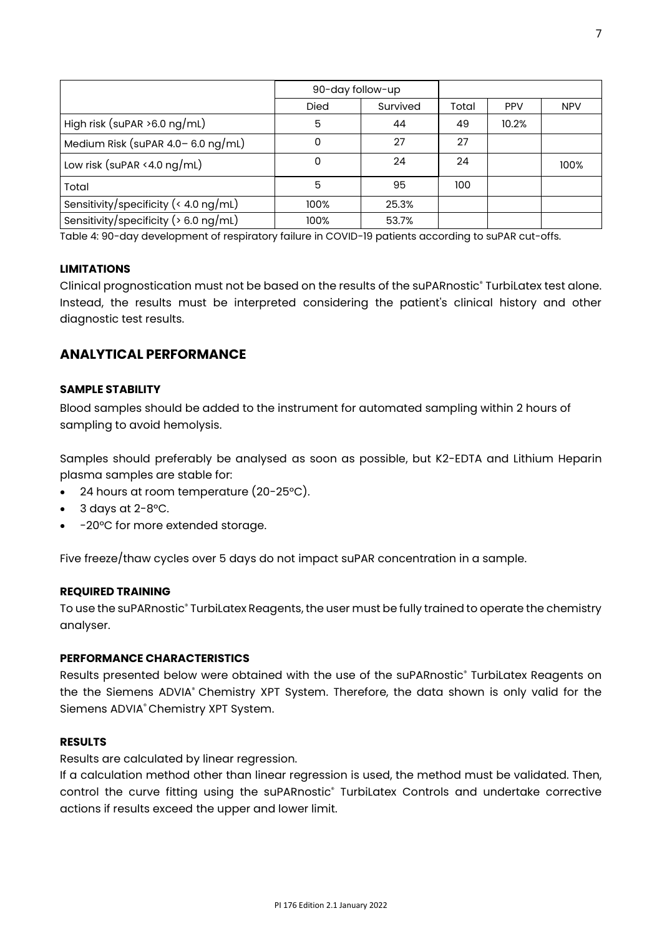|                                          | 90-day follow-up |          |       |            |            |
|------------------------------------------|------------------|----------|-------|------------|------------|
|                                          | <b>Died</b>      | Survived | Total | <b>PPV</b> | <b>NPV</b> |
| High risk (suPAR $>6.0$ ng/mL)           | 5                | 44       | 49    | 10.2%      |            |
| Medium Risk (suPAR $4.0 - 6.0$ ng/mL)    | 0                | 27       | 27    |            |            |
| Low risk (suPAR <4.0 $ng/mL$ )           | 0                | 24       | 24    |            | 100%       |
| Total                                    | 5                | 95       | 100   |            |            |
| Sensitivity/specificity (< 4.0 ng/mL)    | 100%             | 25.3%    |       |            |            |
| Sensitivity/specificity ( $> 6.0$ ng/mL) | 100%             | 53.7%    |       |            |            |

Table 4: 90-day development of respiratory failure in COVID-19 patients according to suPAR cut-offs.

#### **LIMITATIONS**

Clinical prognostication must not be based on the results of the suPARnostic® TurbiLatex test alone. Instead, the results must be interpreted considering the patient's clinical history and other diagnostic test results.

#### **ANALYTICAL PERFORMANCE**

#### **SAMPLE STABILITY**

Blood samples should be added to the instrument for automated sampling within 2 hours of sampling to avoid hemolysis.

Samples should preferably be analysed as soon as possible, but K2-EDTA and Lithium Heparin plasma samples are stable for:

- 24 hours at room temperature (20-25°C).
- $3$  days at  $2-8$ °C.
- -20°C for more extended storage.

Five freeze/thaw cycles over 5 days do not impact suPAR concentration in a sample.

#### **REQUIRED TRAINING**

To use the suPARnostic® TurbiLatex Reagents, the user must be fully trained to operate the chemistry analyser.

#### **PERFORMANCE CHARACTERISTICS**

Results presented below were obtained with the use of the suPARnostic® TurbiLatex Reagents on the the Siemens ADVIA® Chemistry XPT System. Therefore, the data shown is only valid for the Siemens ADVIA® Chemistry XPT System.

#### **RESULTS**

Results are calculated by linear regression.

If a calculation method other than linear regression is used, the method must be validated. Then, control the curve fitting using the suPARnostic<sup>®</sup> TurbiLatex Controls and undertake corrective actions if results exceed the upper and lower limit.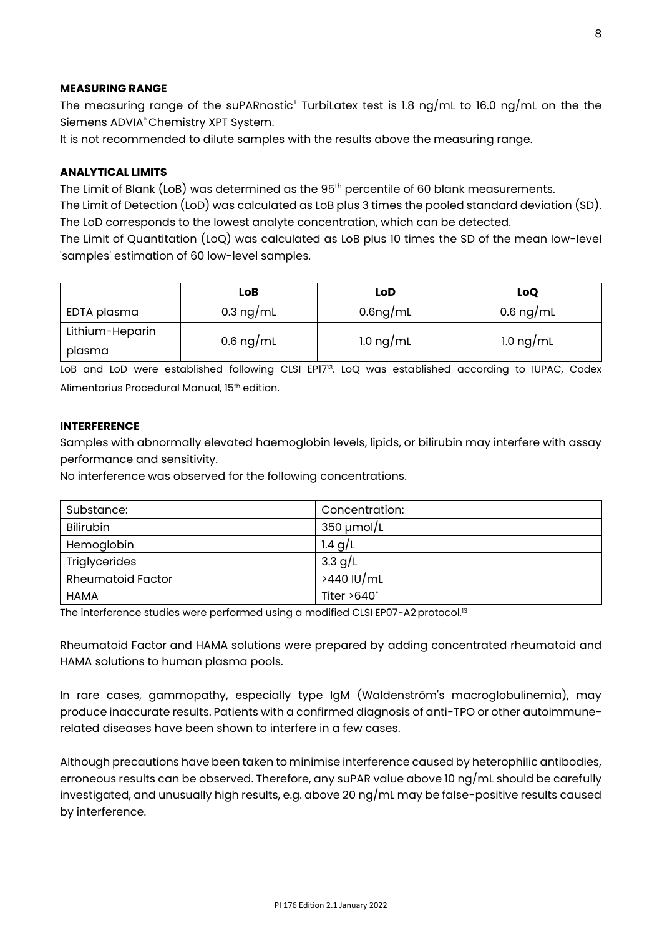#### **MEASURING RANGE**

The measuring range of the suPARnostic<sup>®</sup> TurbiLatex test is 1.8 ng/mL to 16.0 ng/mL on the the Siemens ADVIA® Chemistry XPT System.

It is not recommended to dilute samples with the results above the measuring range.

#### **ANALYTICAL LIMITS**

The Limit of Blank (LoB) was determined as the 95<sup>th</sup> percentile of 60 blank measurements.

The Limit of Detection (LoD) was calculated as LoB plus 3 times the pooled standard deviation (SD). The LoD corresponds to the lowest analyte concentration, which can be detected.

The Limit of Quantitation (LoQ) was calculated as LoB plus 10 times the SD of the mean low-level 'samples' estimation of 60 low-level samples.

|                 | LoB       | LoD                   | LoQ                 |  |
|-----------------|-----------|-----------------------|---------------------|--|
| EDTA plasma     | 0.3 ng/mL | 0.6 <sub>ng</sub> /mL | 0.6 ng/mL           |  |
| Lithium-Heparin | 0.6 ng/mL | $1.0 \text{ ng/mL}$   | $1.0 \text{ ng/mL}$ |  |
| plasma          |           |                       |                     |  |

LoB and LoD were established following CLSI EP17<sup>13</sup>. LoQ was established according to IUPAC, Codex Alimentarius Procedural Manual, 15th edition.

#### **INTERFERENCE**

Samples with abnormally elevated haemoglobin levels, lipids, or bilirubin may interfere with assay performance and sensitivity.

No interference was observed for the following concentrations.

| Substance:               | Concentration:     |
|--------------------------|--------------------|
| <b>Bilirubin</b>         | $350 \mu$ mol/L    |
| Hemoglobin               | $1.4$ g/L          |
| Triglycerides            | 3.3 $g/L$          |
| <b>Rheumatoid Factor</b> | >440 IU/mL         |
| <b>HAMA</b>              | Titer $>640^\circ$ |

The interference studies were performed using a modified CLSI EP07-A2 protocol.<sup>13</sup>

Rheumatoid Factor and HAMA solutions were prepared by adding concentrated rheumatoid and HAMA solutions to human plasma pools.

In rare cases, gammopathy, especially type IgM (Waldenström's macroglobulinemia), may produce inaccurate results. Patients with a confirmed diagnosis of anti-TPO or other autoimmunerelated diseases have been shown to interfere in a few cases.

Although precautions have been taken to minimise interference caused by heterophilic antibodies, erroneous results can be observed. Therefore, any suPAR value above 10 ng/mL should be carefully investigated, and unusually high results, e.g. above 20 ng/mL may be false-positive results caused by interference.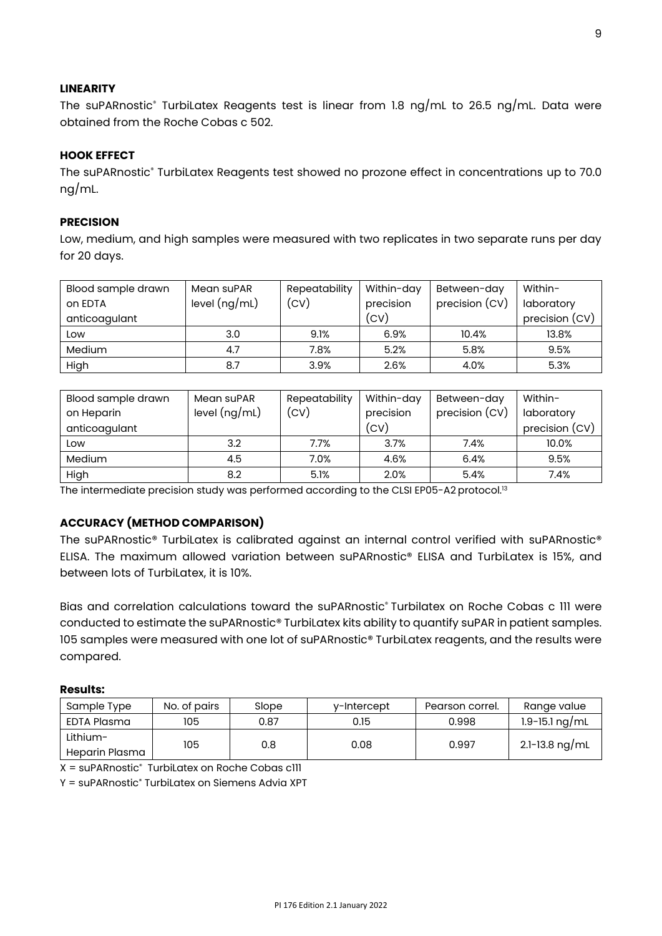#### **LINEARITY**

The suPARnostic® TurbiLatex Reagents test is linear from 1.8 ng/mL to 26.5 ng/mL. Data were obtained from the Roche Cobas c 502.

#### **HOOK EFFECT**

The suPARnostic® TurbiLatex Reagents test showed no prozone effect in concentrations up to 70.0 ng/mL.

#### **PRECISION**

Low, medium, and high samples were measured with two replicates in two separate runs per day for 20 days.

| Blood sample drawn | Mean suPAR      | Repeatability | Within-day | Between-day    | Within-        |
|--------------------|-----------------|---------------|------------|----------------|----------------|
| on EDTA            | level $(ng/mL)$ | (CV)          | precision  | precision (CV) | laboratory     |
| anticoagulant      |                 |               | (CV)       |                | precision (CV) |
| Low                | 3.0             | 9.1%          | 6.9%       | 10.4%          | 13.8%          |
| Medium             | 4.7             | 7.8%          | 5.2%       | 5.8%           | 9.5%           |
| High               | 8.7             | 3.9%          | 2.6%       | 4.0%           | 5.3%           |

| Blood sample drawn | Mean suPAR      | Repeatability | Within-day | Between-day    | Within-        |
|--------------------|-----------------|---------------|------------|----------------|----------------|
| on Heparin         | level $(ng/mL)$ | (CV)          | precision  | precision (CV) | laboratory     |
| anticoagulant      |                 |               | (CV)       |                | precision (CV) |
| Low                | 3.2             | 7.7%          | 3.7%       | 7.4%           | 10.0%          |
| <b>Medium</b>      | 4.5             | 7.0%          | 4.6%       | 6.4%           | 9.5%           |
| High               | 8.2             | 5.1%          | 2.0%       | 5.4%           | 7.4%           |

The intermediate precision study was performed according to the CLSI EP05-A2 protocol.<sup>13</sup>

#### **ACCURACY (METHOD COMPARISON)**

The suPARnostic® TurbiLatex is calibrated against an internal control verified with suPARnostic® ELISA. The maximum allowed variation between suPARnostic® ELISA and TurbiLatex is 15%, and between lots of TurbiLatex, it is 10%.

Bias and correlation calculations toward the suPARnostic® Turbilatex on Roche Cobas c 111 were conducted to estimate the suPARnostic® TurbiLatex kits ability to quantify suPAR in patient samples. 105 samples were measured with one lot of suPARnostic® TurbiLatex reagents, and the results were compared.

#### **Results:**

| Sample Type                | No. of pairs | Slope | v-Intercept | Pearson correl. | Range value        |
|----------------------------|--------------|-------|-------------|-----------------|--------------------|
| EDTA Plasma                | 105          | 0.87  | 0.15        | 0.998           | $1.9 - 15.1$ ng/mL |
| Lithium-<br>Heparin Plasma | 105          | 0.8   | 0.08        | 0.997           | 2.1-13.8 ng/mL     |

 $X = \text{sup}$ ARnostic $\text{sup}$  TurbiLatex on Roche Cobas c111

Y = suPARnostic® TurbiLatex on Siemens Advia XPT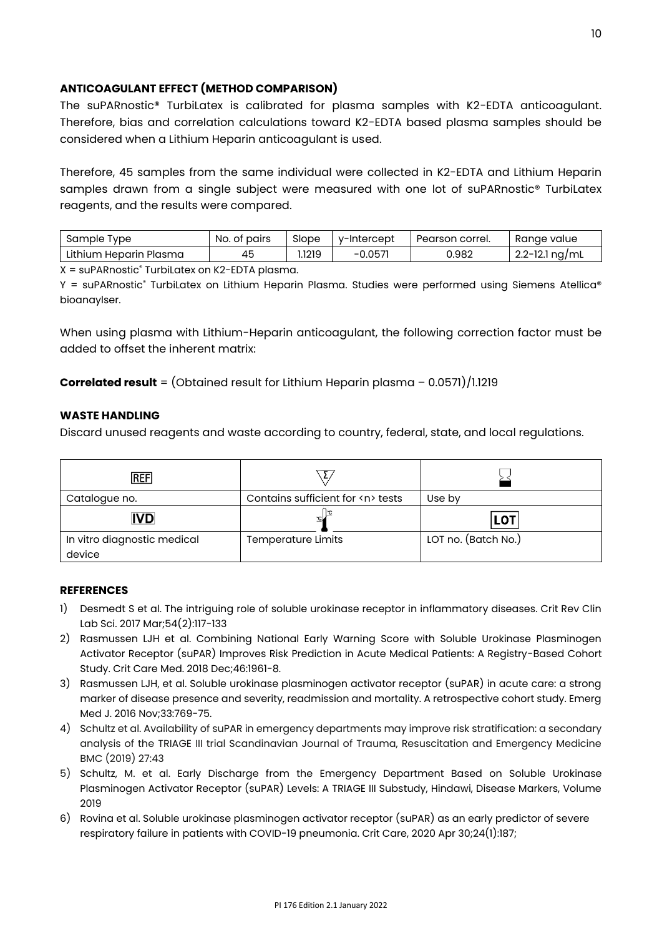#### **ANTICOAGULANT EFFECT (METHOD COMPARISON)**

The suPARnostic® TurbiLatex is calibrated for plasma samples with K2-EDTA anticoagulant. Therefore, bias and correlation calculations toward K2-EDTA based plasma samples should be considered when a Lithium Heparin anticoagulant is used.

Therefore, 45 samples from the same individual were collected in K2-EDTA and Lithium Heparin samples drawn from a single subject were measured with one lot of suPARnostic® TurbiLatex reagents, and the results were compared.

| Sample<br><u>I</u> vpe    | No.<br>pairs<br>.ot | Slope  | v-Intercept  | Pearson<br>correi. | Ranae value              |
|---------------------------|---------------------|--------|--------------|--------------------|--------------------------|
| Lithium Heparin<br>Plasma | 45                  | 1.1219 | 0.057<br>- 1 | 0.982              | $22-12$<br>na/ml<br>12.I |

 $X = \text{sup}$ ARnostic $\textdegree$  TurbiLatex on K2-EDTA plasma.

Y = suPARnostic® TurbiLatex on Lithium Heparin Plasma. Studies were performed using Siemens Atellica® bioanaylser.

When using plasma with Lithium-Heparin anticoagulant, the following correction factor must be added to offset the inherent matrix:

**Correlated result** = (Obtained result for Lithium Heparin plasma – 0.0571)/1.1219

#### **WASTE HANDLING**

Discard unused reagents and waste according to country, federal, state, and local regulations.

| iref                                  |                                       |                     |
|---------------------------------------|---------------------------------------|---------------------|
| Catalogue no.                         | Contains sufficient for <n> tests</n> | Use by              |
| <b>IVD</b>                            |                                       | <b>LOT</b>          |
| In vitro diagnostic medical<br>device | <b>Temperature Limits</b>             | LOT no. (Batch No.) |

#### **REFERENCES**

- 1) Desmedt S et al. The intriguing role of soluble urokinase receptor in inflammatory diseases. Crit Rev Clin Lab Sci. 2017 Mar;54(2):117-133
- 2) Rasmussen LJH et al. Combining National Early Warning Score with Soluble Urokinase Plasminogen Activator Receptor (suPAR) Improves Risk Prediction in Acute Medical Patients: A Registry-Based Cohort Study. Crit Care Med. 2018 Dec;46:1961-8.
- 3) Rasmussen LJH, et al. Soluble urokinase plasminogen activator receptor (suPAR) in acute care: a strong marker of disease presence and severity, readmission and mortality. A retrospective cohort study. Emerg Med J. 2016 Nov;33:769-75.
- 4) Schultz et al. Availability of suPAR in emergency departments may improve risk stratification: a secondary analysis of the TRIAGE III trial Scandinavian Journal of Trauma, Resuscitation and Emergency Medicine BMC (2019) 27:43
- 5) Schultz, M. et al. Early Discharge from the Emergency Department Based on Soluble Urokinase Plasminogen Activator Receptor (suPAR) Levels: A TRIAGE III Substudy, Hindawi, Disease Markers, Volume 2019
- 6) Rovina et al. Soluble urokinase plasminogen activator receptor (suPAR) as an early predictor of severe respiratory failure in patients with COVID-19 pneumonia. Crit Care, 2020 Apr 30;24(1):187;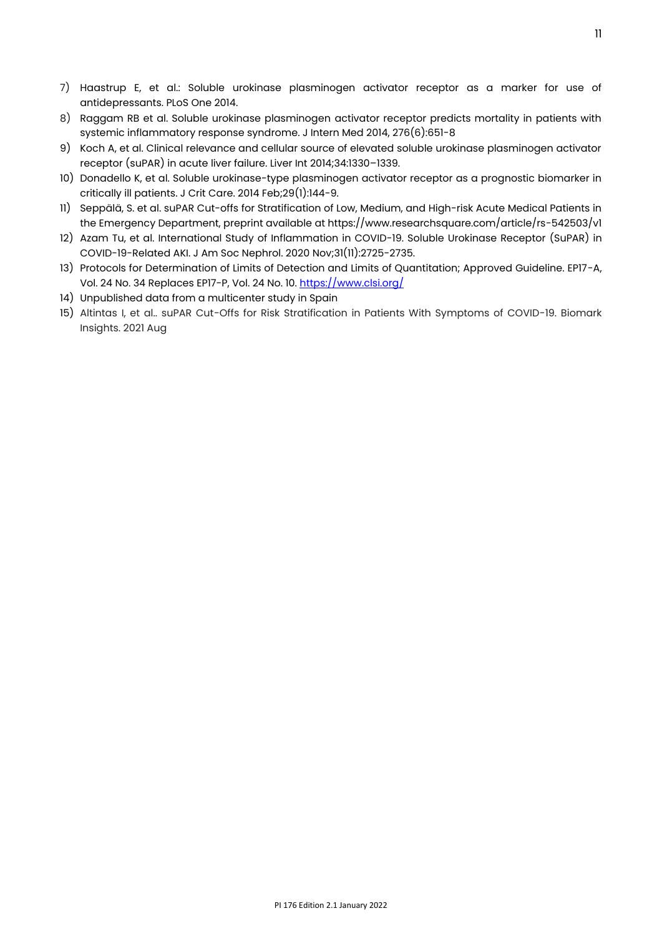- 7) Haastrup E, et al.: Soluble urokinase plasminogen activator receptor as a marker for use of antidepressants. PLoS One 2014.
- 8) Raggam RB et al. Soluble urokinase plasminogen activator receptor predicts mortality in patients with systemic inflammatory response syndrome. J Intern Med 2014, 276(6):651-8
- 9) Koch A, et al. Clinical relevance and cellular source of elevated soluble urokinase plasminogen activator receptor (suPAR) in acute liver failure. Liver Int 2014;34:1330–1339.
- 10) Donadello K, et al. Soluble urokinase-type plasminogen activator receptor as a prognostic biomarker in critically ill patients. J Crit Care. 2014 Feb;29(1):144-9.
- 11) Seppälä, S. et al. suPAR Cut-offs for Stratification of Low, Medium, and High-risk Acute Medical Patients in the Emergency Department, preprint available at https://www.researchsquare.com/article/rs-542503/v1
- 12) Azam Tu, et al. International Study of Inflammation in COVID-19. Soluble Urokinase Receptor (SuPAR) in COVID-19-Related AKI. J Am Soc Nephrol. 2020 Nov;31(11):2725-2735.
- 13) Protocols for Determination of Limits of Detection and Limits of Quantitation; Approved Guideline. EP17-A, Vol. 24 No. 34 Replaces EP17-P, Vol. 24 No. 10[. https://www.clsi.org/](https://www.clsi.org/)
- 14) Unpublished data from a multicenter study in Spain
- 15) Altintas I, et al.. suPAR Cut-Offs for Risk Stratification in Patients With Symptoms of COVID-19. Biomark Insights. 2021 Aug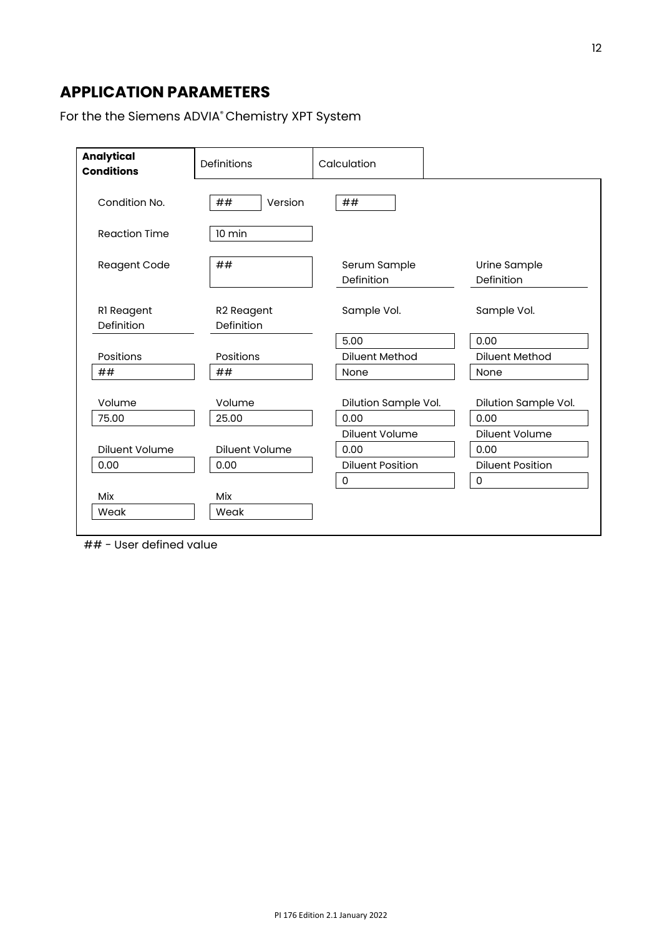# **APPLICATION PARAMETERS**

For the the Siemens ADVIA® Chemistry XPT System

| <b>Analytical</b><br><b>Conditions</b> | Definitions                          | Calculation                |                            |
|----------------------------------------|--------------------------------------|----------------------------|----------------------------|
| Condition No.                          | ##<br>Version                        | ##                         |                            |
| <b>Reaction Time</b>                   | 10 min                               |                            |                            |
| <b>Reagent Code</b>                    | ##                                   | Serum Sample<br>Definition | Urine Sample<br>Definition |
| RI Reagent<br>Definition               | R <sub>2</sub> Reagent<br>Definition | Sample Vol.                | Sample Vol.                |
|                                        |                                      | 5.00                       | 0.00                       |
| Positions                              | Positions                            | <b>Diluent Method</b>      | <b>Diluent Method</b>      |
| ##                                     | ##                                   | None                       | None                       |
| Volume                                 | Volume                               | Dilution Sample Vol.       | Dilution Sample Vol.       |
| 75.00                                  | 25.00                                | 0.00                       | 0.00                       |
|                                        |                                      | <b>Diluent Volume</b>      | Diluent Volume             |
| Diluent Volume                         | <b>Diluent Volume</b>                | 0.00                       | 0.00                       |
| 0.00                                   | 0.00                                 | <b>Diluent Position</b>    | <b>Diluent Position</b>    |
|                                        |                                      | $\mathsf 0$                | 0                          |
| Mix                                    | <b>Mix</b>                           |                            |                            |
| Weak                                   | Weak                                 |                            |                            |

## - User defined value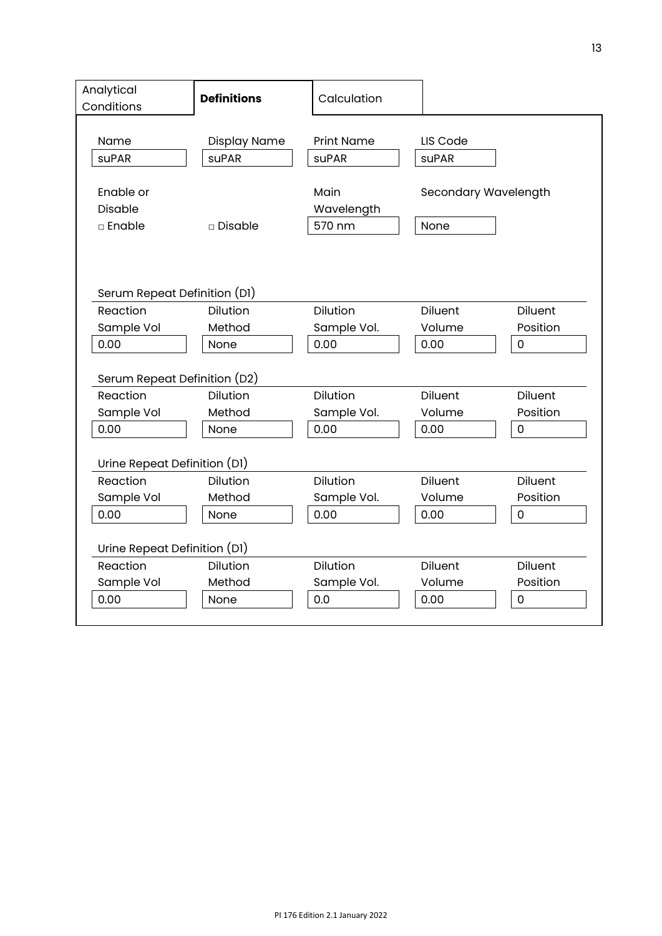| Analytical<br>Conditions                       | <b>Definitions</b> | Calculation                  |                              |                     |  |  |  |  |
|------------------------------------------------|--------------------|------------------------------|------------------------------|---------------------|--|--|--|--|
| Name                                           | Display Name       | <b>Print Name</b>            | LIS Code                     |                     |  |  |  |  |
| <b>suPAR</b>                                   | <b>suPAR</b>       | <b>suPAR</b>                 |                              | <b>suPAR</b>        |  |  |  |  |
| Enable or<br><b>Disable</b><br>□ Enable        | $\square$ Disable  | Main<br>Wavelength<br>570 nm | Secondary Wavelength<br>None |                     |  |  |  |  |
| Serum Repeat Definition (D1)<br><b>Diluent</b> |                    |                              |                              |                     |  |  |  |  |
| Reaction<br>Sample Vol                         | Dilution<br>Method | Dilution<br>Sample Vol.      | Volume                       | Diluent<br>Position |  |  |  |  |
| 0.00                                           | None               | 0.00                         | 0.00                         | 0                   |  |  |  |  |
|                                                |                    |                              |                              |                     |  |  |  |  |
| Serum Repeat Definition (D2)                   |                    |                              |                              |                     |  |  |  |  |
| Reaction                                       | <b>Dilution</b>    | <b>Dilution</b>              | <b>Diluent</b>               | <b>Diluent</b>      |  |  |  |  |
| Sample Vol                                     | Method             | Sample Vol.                  | Volume                       | Position            |  |  |  |  |
| 0.00                                           | None               | 0.00                         | 0.00                         | $\mathbf 0$         |  |  |  |  |
| Urine Repeat Definition (D1)                   |                    |                              |                              |                     |  |  |  |  |
| Reaction                                       | Dilution           | Dilution                     | Diluent                      | Diluent             |  |  |  |  |
| Sample Vol                                     | Method             | Sample Vol.                  | Volume                       | Position            |  |  |  |  |
| 0.00                                           | None               | 0.00                         | 0.00                         | $\mathsf 0$         |  |  |  |  |
| Urine Repeat Definition (D1)                   |                    |                              |                              |                     |  |  |  |  |
| Reaction                                       | <b>Dilution</b>    | <b>Dilution</b>              | <b>Diluent</b>               | <b>Diluent</b>      |  |  |  |  |
| Sample Vol                                     | Method             | Sample Vol.                  | Volume                       | Position            |  |  |  |  |
| 0.00                                           | None               | 0.0                          | 0.00                         | 0                   |  |  |  |  |
|                                                |                    |                              |                              |                     |  |  |  |  |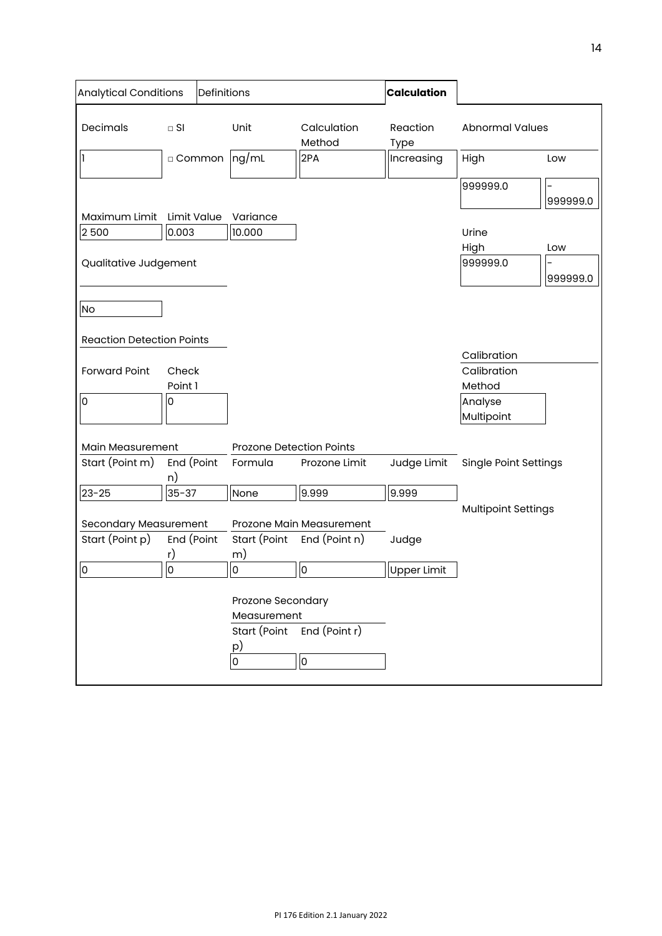| <b>Analytical Conditions</b><br>Definitions     |                       |         |                                                             |                                           | <b>Calculation</b>                    |                                |          |
|-------------------------------------------------|-----------------------|---------|-------------------------------------------------------------|-------------------------------------------|---------------------------------------|--------------------------------|----------|
| Decimals                                        | $\Box$ SI<br>□ Common |         | Unit<br>$\log/mL$                                           | Calculation<br>Method<br>2PA              | Reaction<br><b>Type</b><br>Increasing | <b>Abnormal Values</b><br>High | Low      |
|                                                 |                       |         |                                                             |                                           |                                       |                                |          |
| Maximum Limit                                   | Limit Value           |         | Variance                                                    |                                           |                                       | 999999.0                       | 999999.0 |
| 2500                                            | 0.003                 |         | 10.000                                                      |                                           |                                       | Urine                          |          |
|                                                 |                       |         |                                                             |                                           |                                       | High                           | Low      |
| Qualitative Judgement                           |                       |         |                                                             |                                           |                                       | 999999.0                       | 999999.0 |
| <b>No</b>                                       |                       |         |                                                             |                                           |                                       |                                |          |
| <b>Reaction Detection Points</b>                |                       |         |                                                             |                                           |                                       | Calibration                    |          |
| <b>Forward Point</b>                            | Check<br>Point 1      |         |                                                             |                                           |                                       | Calibration<br>Method          |          |
| $\overline{0}$                                  | 0                     |         |                                                             |                                           |                                       | Analyse<br>Multipoint          |          |
| Main Measurement                                |                       |         | <b>Prozone Detection Points</b>                             |                                           |                                       |                                |          |
| End (Point<br>Start (Point m)<br>n)             |                       | Formula | Prozone Limit                                               | Judge Limit                               | <b>Single Point Settings</b>          |                                |          |
| $23 - 25$                                       | $35 - 37$             |         | None                                                        | 9.999                                     | 9.999                                 |                                |          |
|                                                 |                       |         |                                                             |                                           |                                       | <b>Multipoint Settings</b>     |          |
| <b>Secondary Measurement</b><br>Start (Point p) | End (Point<br>r)      |         | Start (Point<br>m)                                          | Prozone Main Measurement<br>End (Point n) | Judge                                 |                                |          |
| $\overline{0}$                                  | $\overline{0}$        |         | $\overline{0}$                                              | 0                                         | <b>Upper Limit</b>                    |                                |          |
|                                                 |                       |         | Prozone Secondary<br>Measurement<br>Start (Point<br>p)<br>0 | End (Point r)<br>l0                       |                                       |                                |          |